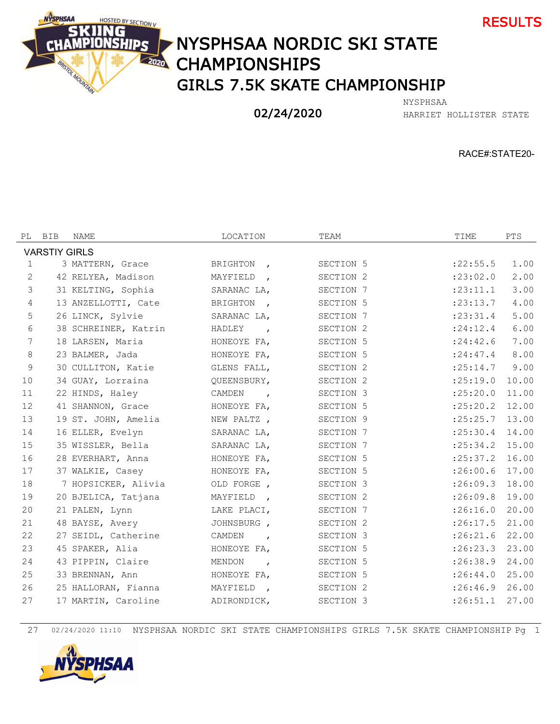



## NYSPHSAA NORDIC SKI STATE **CHAMPIONSHIPS** GIRLS 7.5K SKATE CHAMPIONSHIP

## 02/24/2020

HARRIET HOLLISTER STATE NYSPHSAA

RACE#:STATE20-

| PL                   | BIB | NAME                 | LOCATION                          | TEAM      | TIME               | PTS   |  |  |  |  |  |
|----------------------|-----|----------------------|-----------------------------------|-----------|--------------------|-------|--|--|--|--|--|
| <b>VARSTIY GIRLS</b> |     |                      |                                   |           |                    |       |  |  |  |  |  |
| $\mathbf{1}$         |     | 3 MATTERN, Grace     | BRIGHTON<br>$\overline{ }$        | SECTION 5 | : 22: 55.5         | 1.00  |  |  |  |  |  |
| 2                    |     | 42 RELYEA, Madison   | MAYFIELD<br>$\overline{ }$        | SECTION 2 | : 23:02.0          | 2.00  |  |  |  |  |  |
| $\mathfrak{Z}$       |     | 31 KELTING, Sophia   | SARANAC LA,                       | SECTION 7 | : 23: 11.1         | 3.00  |  |  |  |  |  |
| 4                    |     | 13 ANZELLOTTI, Cate  | <b>BRIGHTON</b><br>$\overline{ }$ | SECTION 5 | : 23: 13.7         | 4.00  |  |  |  |  |  |
| 5                    |     | 26 LINCK, Sylvie     | SARANAC LA,                       | SECTION 7 | : 23: 31.4         | 5.00  |  |  |  |  |  |
| 6                    |     | 38 SCHREINER, Katrin | HADLEY<br>$\overline{ }$          | SECTION 2 | : 24:12.4          | 6.00  |  |  |  |  |  |
| 7                    |     | 18 LARSEN, Maria     | HONEOYE FA,                       | SECTION 5 | : 24:42.6          | 7.00  |  |  |  |  |  |
| 8                    |     | 23 BALMER, Jada      | HONEOYE FA,                       | SECTION 5 | : 24:47.4          | 8.00  |  |  |  |  |  |
| 9                    |     | 30 CULLITON, Katie   | GLENS FALL,                       | SECTION 2 | : 25:14.7          | 9.00  |  |  |  |  |  |
| 10                   |     | 34 GUAY, Lorraina    | QUEENSBURY,                       | SECTION 2 | : 25:19.0          | 10.00 |  |  |  |  |  |
| 11                   |     | 22 HINDS, Haley      | CAMDEN<br>$\overline{ }$          | SECTION 3 | :25:20.0           | 11.00 |  |  |  |  |  |
| 12                   |     | 41 SHANNON, Grace    | HONEOYE FA,                       | SECTION 5 | $: 25: 20.2$ 12.00 |       |  |  |  |  |  |
| 13                   |     | 19 ST. JOHN, Amelia  | NEW PALTZ,                        | SECTION 9 | $: 25: 25.7$ 13.00 |       |  |  |  |  |  |
| 14                   |     | 16 ELLER, Evelyn     | SARANAC LA,                       | SECTION 7 | : 25:30.4          | 14.00 |  |  |  |  |  |
| 15                   |     | 35 WISSLER, Bella    | SARANAC LA,                       | SECTION 7 | $: 25:34.2$ 15.00  |       |  |  |  |  |  |
| 16                   |     | 28 EVERHART, Anna    | HONEOYE FA,                       | SECTION 5 | : 25:37.2 16.00    |       |  |  |  |  |  |
| 17                   |     | 37 WALKIE, Casey     | HONEOYE FA,                       | SECTION 5 | :26:00.6           | 17.00 |  |  |  |  |  |
| 18                   |     | 7 HOPSICKER, Alivia  | OLD FORGE,                        | SECTION 3 | :26:09.3           | 18.00 |  |  |  |  |  |
| 19                   |     | 20 BJELICA, Tatjana  | MAYFIELD<br>$\overline{ }$        | SECTION 2 | $:26:09.8$ 19.00   |       |  |  |  |  |  |
| 20                   |     | 21 PALEN, Lynn       | LAKE PLACI,                       | SECTION 7 | $:26:16.0$ 20.00   |       |  |  |  |  |  |
| 21                   |     | 48 BAYSE, Avery      | JOHNSBURG,                        | SECTION 2 | :26:17.5           | 21.00 |  |  |  |  |  |
| 22                   |     | 27 SEIDL, Catherine  | CAMDEN<br>$\overline{ }$          | SECTION 3 | $:26:21.6$ 22.00   |       |  |  |  |  |  |
| 23                   |     | 45 SPAKER, Alia      | HONEOYE FA,                       | SECTION 5 | $:26:23.3$ 23.00   |       |  |  |  |  |  |
| 24                   |     | 43 PIPPIN, Claire    | MENDON<br>$\overline{ }$          | SECTION 5 | : 26:38.9 24.00    |       |  |  |  |  |  |
| 25                   |     | 33 BRENNAN, Ann      | HONEOYE FA,                       | SECTION 5 | : 26:44.0 25.00    |       |  |  |  |  |  |
| 26                   |     | 25 HALLORAN, Fianna  | MAYFIELD<br>$\overline{ }$        | SECTION 2 | : 26:46.9 26.00    |       |  |  |  |  |  |
| 27                   |     | 17 MARTIN, Caroline  | ADIRONDICK,                       | SECTION 3 | :26:51.1           | 27.00 |  |  |  |  |  |

02/24/2020 11:10 NYSPHSAA NORDIC SKI STATE CHAMPIONSHIPS GIRLS 7.5K SKATE CHAMPIONSHIP Pg 1